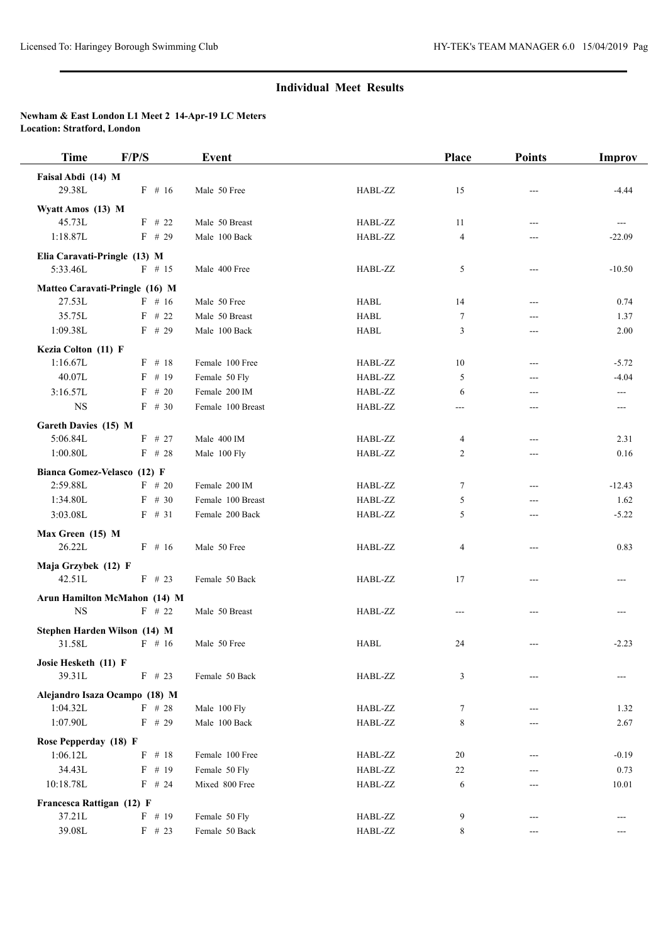## **Individual Meet Results**

## **Newham & East London L1 Meet 2 14-Apr-19 LC Meters Location: Stratford, London**

| <b>Time</b>                    | F/P/S     | Event             |             | Place          | <b>Points</b>              | Improv   |
|--------------------------------|-----------|-------------------|-------------|----------------|----------------------------|----------|
| Faisal Abdi (14) M             |           |                   |             |                |                            |          |
| 29.38L                         | $F$ # 16  | Male 50 Free      | HABL-ZZ     | 15             |                            | $-4.44$  |
| Wyatt Amos (13) M              |           |                   |             |                |                            |          |
| 45.73L                         | $F$ # 22  | Male 50 Breast    | HABL-ZZ     | 11             | $---$                      | ---      |
| 1:18.87L                       | $F$ # 29  | Male 100 Back     | HABL-ZZ     | $\overline{4}$ | ---                        | $-22.09$ |
| Elia Caravati-Pringle (13) M   |           |                   |             |                |                            |          |
| 5:33.46L                       | $F$ # 15  | Male 400 Free     | HABL-ZZ     | 5              | $\qquad \qquad \text{---}$ | $-10.50$ |
| Matteo Caravati-Pringle (16) M |           |                   |             |                |                            |          |
| 27.53L                         | $F$ # 16  | Male 50 Free      | <b>HABL</b> | 14             | $---$                      | 0.74     |
| 35.75L                         | $F$ # 22  | Male 50 Breast    | <b>HABL</b> | $\tau$         | ---                        | 1.37     |
| 1:09.38L                       | $F$ # 29  | Male 100 Back     | <b>HABL</b> | 3              | ---                        | 2.00     |
| Kezia Colton (11) F            |           |                   |             |                |                            |          |
| 1:16.67L                       | $F$ # 18  | Female 100 Free   | HABL-ZZ     | 10             | $---$                      | $-5.72$  |
| 40.07L                         | $F$ # 19  | Female 50 Fly     | HABL-ZZ     | 5              | ---                        | $-4.04$  |
| 3:16.57L                       | $F \# 20$ | Female 200 IM     | HABL-ZZ     | 6              | ---                        | ---      |
| <b>NS</b>                      | $F$ # 30  | Female 100 Breast | HABL-ZZ     | ---            | ---                        | ---      |
| Gareth Davies (15) M           |           |                   |             |                |                            |          |
| 5:06.84L                       | $F$ # 27  | Male 400 IM       | HABL-ZZ     | 4              | $---$                      | 2.31     |
| 1:00.80L                       | $F$ # 28  | Male 100 Fly      | HABL-ZZ     | 2              | ---                        | 0.16     |
| Bianca Gomez-Velasco (12) F    |           |                   |             |                |                            |          |
| 2:59.88L                       | $F$ # 20  | Female 200 IM     | HABL-ZZ     | 7              | ---                        | $-12.43$ |
| 1:34.80L                       | $F$ # 30  | Female 100 Breast | HABL-ZZ     | 5              | ---                        | 1.62     |
| 3:03.08L                       | $F$ # 31  | Female 200 Back   | HABL-ZZ     | 5              | ---                        | $-5.22$  |
| Max Green (15) M               |           |                   |             |                |                            |          |
| 26.22L                         | $F$ # 16  | Male 50 Free      | HABL-ZZ     | 4              | $---$                      | 0.83     |
| Maja Grzybek (12) F            |           |                   |             |                |                            |          |
| 42.51L                         | $F$ # 23  | Female 50 Back    | HABL-ZZ     | 17             | $---$                      |          |
| Arun Hamilton McMahon (14) M   |           |                   |             |                |                            |          |
| <b>NS</b>                      | $F$ # 22  | Male 50 Breast    | HABL-ZZ     | $---$          |                            |          |
| Stephen Harden Wilson (14) M   |           |                   |             |                |                            |          |
| 31.58L                         | $F$ # 16  | Male 50 Free      | <b>HABL</b> | 24             |                            | $-2.23$  |
| Josie Hesketh (11) F           |           |                   |             |                |                            |          |
| 39.31L                         | $F$ # 23  | Female 50 Back    | HABL-ZZ     | 3              |                            |          |
| Alejandro Isaza Ocampo (18) M  |           |                   |             |                |                            |          |
| 1:04.32L                       | $F$ # 28  | Male 100 Fly      | HABL-ZZ     | 7              |                            | 1.32     |
| 1:07.90L                       | $F$ # 29  | Male 100 Back     | HABL-ZZ     | 8              | ---                        | 2.67     |
| Rose Pepperday (18) F          |           |                   |             |                |                            |          |
| 1:06.12L                       | $F$ # 18  | Female 100 Free   | HABL-ZZ     | 20             | ---                        | $-0.19$  |
| 34.43L                         | $F$ # 19  | Female 50 Fly     | HABL-ZZ     | 22             |                            | 0.73     |
| 10:18.78L                      | $F$ # 24  | Mixed 800 Free    | HABL-ZZ     | 6              | ---                        | 10.01    |
| Francesca Rattigan (12) F      |           |                   |             |                |                            |          |
| 37.21L                         | $F$ # 19  | Female 50 Fly     | HABL-ZZ     | 9              |                            |          |
| 39.08L                         | $F$ # 23  | Female 50 Back    | HABL-ZZ     | 8              | ---                        | ---      |